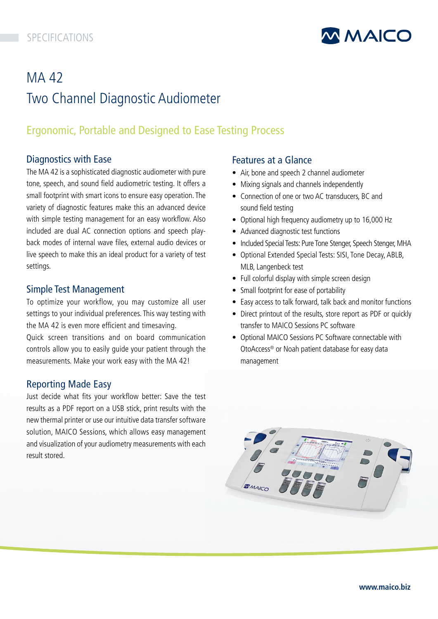

# **MA42** Two Channel Diagnostic Audiometer

## Ergonomic, Portable and Designed to Ease Testing Process

## Diagnostics with Ease

The MA 42 is a sophisticated diagnostic audiometer with pure tone, speech, and sound field audiometric testing. It offers a small footprint with smart icons to ensure easy operation. The variety of diagnostic features make this an advanced device with simple testing management for an easy workflow. Also included are dual AC connection options and speech playback modes of internal wave files, external audio devices or live speech to make this an ideal product for a variety of test settings.

## Simple Test Management

To optimize your workflow, you may customize all user settings to your individual preferences. This way testing with the MA 42 is even more efficient and timesaving. Quick screen transitions and on board communication controls allow you to easily guide your patient through the

measurements. Make your work easy with the MA 42!

Reporting Made Easy

Just decide what fits your workflow better: Save the test results as a PDF report on a USB stick, print results with th[e](https://www.maico-diagnostics.com/products/audiometers/ma42)  new thermal printer or use our intuitive data transfer software solution, MAICO Sessions, which allows easy management and visualization of your audiometry measurements with each result stored.

## Features at a Glance

- Air, bone and speech 2 channel audiometer
- Mixing signals and channels independently
- Connection of one or two AC transducers, BC and sound field testing
- Optional high frequency audiometry up to 16,000 Hz
- Advanced diagnostic test functions
- Included Special Tests: Pure Tone Stenger, Speech Stenger, MHA
- Optional Extended Special Tests: SISI, Tone Decay, ABLB, MLB, Langenbeck test
- Full colorful display with simple screen design
- Small footprint for ease of portability
- Easy access to talk forward, talk back and monitor functions
- Direct printout of the results, store report as PDF or quickly transfer to MAICO Sessions PC software
- Optional MAICO Sessions PC Software connectable with OtoAccess® or Noah patient database for easy data management